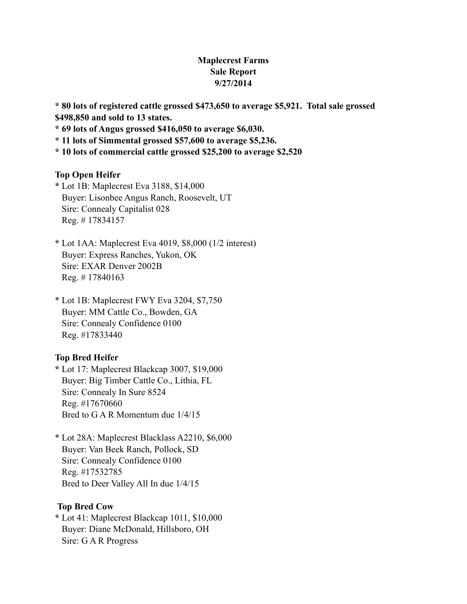# **Maplecrest Farms Sale Report 9/27/2014**

**\* 80 lots of registered cattle grossed \$473,650 to average \$5,921. Total sale grossed \$498,850 and sold to 13 states.**

**\* 69 lots of Angus grossed \$416,050 to average \$6,030.**

**\* 11 lots of Simmental grossed \$57,600 to average \$5,236.**

**\* 10 lots of commercial cattle grossed \$25,200 to average \$2,520**

#### **Top Open Heifer**

**\*** Lot 1B: Maplecrest Eva 3188, \$14,000 Buyer: Lisonbee Angus Ranch, Roosevelt, UT Sire: Connealy Capitalist 028 Reg. # 17834157

**\*** Lot 1AA: Maplecrest Eva 4019, \$8,000 (1/2 interest) Buyer: Express Ranches, Yukon, OK Sire: EXAR Denver 2002B Reg. # 17840163

\* Lot 1B: Maplecrest FWY Eva 3204, \$7,750 Buyer: MM Cattle Co., Bowden, GA Sire: Connealy Confidence 0100 Reg. #17833440

## **Top Bred Heifer**

**\*** Lot 17: Maplecrest Blackcap 3007, \$19,000 Buyer: Big Timber Cattle Co., Lithia, FL Sire: Connealy In Sure 8524 Reg. #17670660 Bred to G A R Momentum due 1/4/15

\* Lot 28A: Maplecrest Blacklass A2210, \$6,000 Buyer: Van Beek Ranch, Pollock, SD Sire: Connealy Confidence 0100 Reg. #17532785 Bred to Deer Valley All In due 1/4/15

### **Top Bred Cow**

**\*** Lot 41: Maplecrest Blackcap 1011, \$10,000 Buyer: Diane McDonald, Hillsboro, OH Sire: G A R Progress